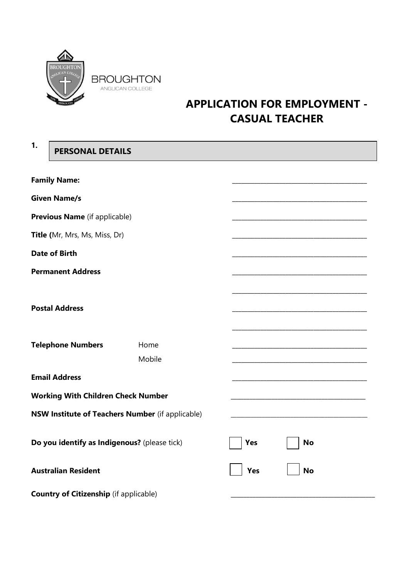

# **APPLICATION FOR EMPLOYMENT - CASUAL TEACHER**

| 1. | <b>PERSONAL DETAILS</b>                       |                                                         |            |           |  |
|----|-----------------------------------------------|---------------------------------------------------------|------------|-----------|--|
|    | <b>Family Name:</b>                           |                                                         |            |           |  |
|    | <b>Given Name/s</b>                           |                                                         |            |           |  |
|    |                                               |                                                         |            |           |  |
|    | Previous Name (if applicable)                 |                                                         |            |           |  |
|    | Title (Mr, Mrs, Ms, Miss, Dr)                 |                                                         |            |           |  |
|    | <b>Date of Birth</b>                          |                                                         |            |           |  |
|    | <b>Permanent Address</b>                      |                                                         |            |           |  |
|    | <b>Postal Address</b>                         |                                                         |            |           |  |
|    | <b>Telephone Numbers</b>                      | Home                                                    |            |           |  |
|    |                                               | Mobile                                                  |            |           |  |
|    | <b>Email Address</b>                          |                                                         |            |           |  |
|    | <b>Working With Children Check Number</b>     |                                                         |            |           |  |
|    |                                               | <b>NSW Institute of Teachers Number</b> (if applicable) |            |           |  |
|    | Do you identify as Indigenous? (please tick)  |                                                         | Yes        | <b>No</b> |  |
|    | <b>Australian Resident</b>                    |                                                         | <b>Yes</b> | <b>No</b> |  |
|    | <b>Country of Citizenship</b> (if applicable) |                                                         |            |           |  |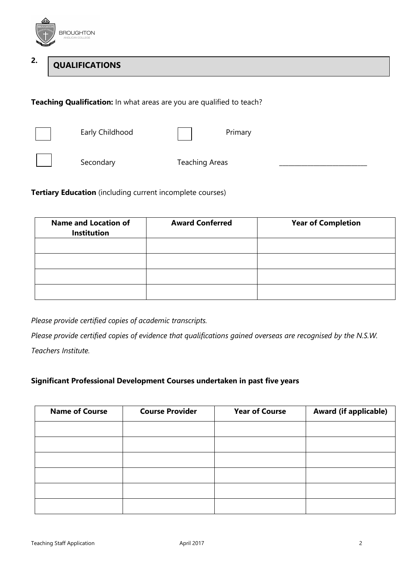

#### **2. QUALIFICATIONS**

**Teaching Qualification:** In what areas are you are qualified to teach?



Early Childhood Primary



Secondary Teaching Areas

**Tertiary Education** (including current incomplete courses)

| <b>Name and Location of</b><br>Institution | <b>Award Conferred</b> | <b>Year of Completion</b> |
|--------------------------------------------|------------------------|---------------------------|
|                                            |                        |                           |
|                                            |                        |                           |
|                                            |                        |                           |
|                                            |                        |                           |

*Please provide certified copies of academic transcripts.* 

*Please provide certified copies of evidence that qualifications gained overseas are recognised by the N.S.W. Teachers Institute.*

# **Significant Professional Development Courses undertaken in past five years**

| <b>Name of Course</b> | <b>Course Provider</b> | <b>Year of Course</b> | <b>Award (if applicable)</b> |
|-----------------------|------------------------|-----------------------|------------------------------|
|                       |                        |                       |                              |
|                       |                        |                       |                              |
|                       |                        |                       |                              |
|                       |                        |                       |                              |
|                       |                        |                       |                              |
|                       |                        |                       |                              |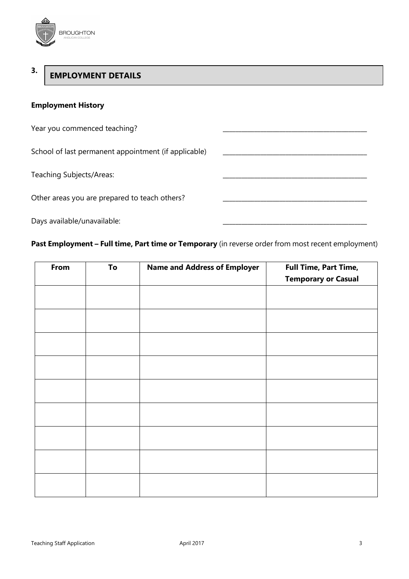

#### **3. EMPLOYMENT DETAILS**

# **Employment History**

| Year you commenced teaching?                         |  |
|------------------------------------------------------|--|
| School of last permanent appointment (if applicable) |  |
| Teaching Subjects/Areas:                             |  |
| Other areas you are prepared to teach others?        |  |
| Days available/unavailable:                          |  |

**Past Employment – Full time, Part time or Temporary** (in reverse order from most recent employment)

| From | To | <b>Name and Address of Employer</b> | <b>Full Time, Part Time,</b> |
|------|----|-------------------------------------|------------------------------|
|      |    |                                     | <b>Temporary or Casual</b>   |
|      |    |                                     |                              |
|      |    |                                     |                              |
|      |    |                                     |                              |
|      |    |                                     |                              |
|      |    |                                     |                              |
|      |    |                                     |                              |
|      |    |                                     |                              |
|      |    |                                     |                              |
|      |    |                                     |                              |
|      |    |                                     |                              |
|      |    |                                     |                              |
|      |    |                                     |                              |
|      |    |                                     |                              |
|      |    |                                     |                              |
|      |    |                                     |                              |
|      |    |                                     |                              |
|      |    |                                     |                              |
|      |    |                                     |                              |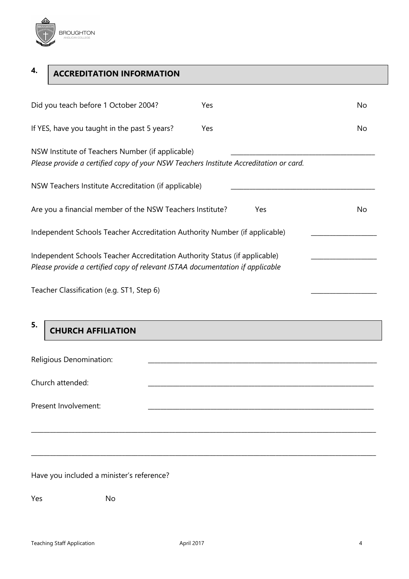

| 4. | <b>ACCREDITATION INFORMATION</b>     |     |    |
|----|--------------------------------------|-----|----|
|    | Did you teach before 1 October 2004? | Yes | N٥ |

| If YES, have you taught in the past 5 years?<br>Yes                                                                                                         | No. |
|-------------------------------------------------------------------------------------------------------------------------------------------------------------|-----|
| NSW Institute of Teachers Number (if applicable)<br>Please provide a certified copy of your NSW Teachers Institute Accreditation or card.                   |     |
| NSW Teachers Institute Accreditation (if applicable)                                                                                                        |     |
| Are you a financial member of the NSW Teachers Institute?<br>Yes.                                                                                           | No. |
| Independent Schools Teacher Accreditation Authority Number (if applicable)                                                                                  |     |
| Independent Schools Teacher Accreditation Authority Status (if applicable)<br>Please provide a certified copy of relevant ISTAA documentation if applicable |     |

Teacher Classification (e.g. ST1, Step 6)

**5.**

# **CHURCH AFFILIATION**

| Religious Denomination: |  |
|-------------------------|--|
| Church attended:        |  |
| Present Involvement:    |  |

\_\_\_\_\_\_\_\_\_\_\_\_\_\_\_\_\_\_\_\_\_\_\_\_\_\_\_\_\_\_\_\_\_\_\_\_\_\_\_\_\_\_\_\_\_\_\_\_\_\_\_\_\_\_\_\_\_\_\_\_\_\_\_\_\_\_\_\_\_\_\_\_\_\_\_\_\_\_\_\_\_\_\_\_\_\_\_\_\_\_\_\_\_\_\_\_\_\_\_\_\_\_\_\_\_\_\_\_\_\_

Have you included a minister's reference?

Yes No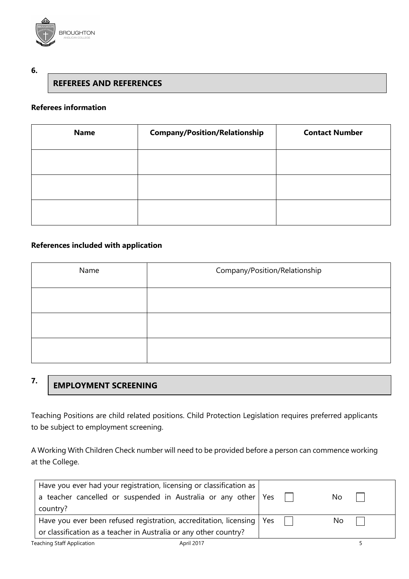

### **6.**

# **REFEREES AND REFERENCES**

# **Referees information**

| <b>Name</b> | <b>Company/Position/Relationship</b> | <b>Contact Number</b> |
|-------------|--------------------------------------|-----------------------|
|             |                                      |                       |
|             |                                      |                       |
|             |                                      |                       |

# **References included with application**

| Name | Company/Position/Relationship |  |  |  |
|------|-------------------------------|--|--|--|
|      |                               |  |  |  |
|      |                               |  |  |  |
|      |                               |  |  |  |

#### **7. EMPLOYMENT SCREENING**

Teaching Positions are child related positions. Child Protection Legislation requires preferred applicants to be subject to employment screening.

A Working With Children Check number will need to be provided before a person can commence working at the College.

| Have you ever had your registration, licensing or classification as     |  |     |  |
|-------------------------------------------------------------------------|--|-----|--|
| a teacher cancelled or suspended in Australia or any other   Yes        |  | No. |  |
| country?                                                                |  |     |  |
| Have you ever been refused registration, accreditation, licensing   Yes |  | No. |  |
| or classification as a teacher in Australia or any other country?       |  |     |  |
| <b>Teaching Staff Application</b><br>April 2017                         |  |     |  |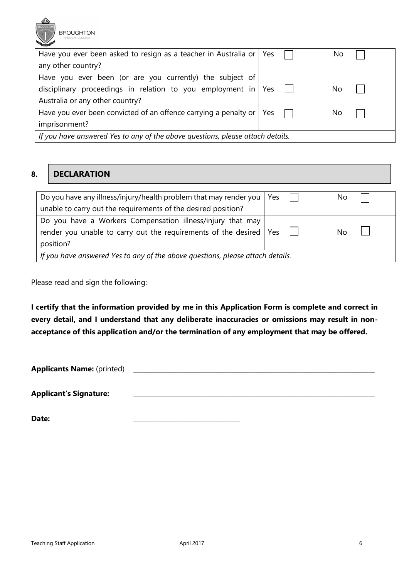

| Have you ever been asked to resign as a teacher in Australia or   Yes                |  |  | No  |  |
|--------------------------------------------------------------------------------------|--|--|-----|--|
| any other country?                                                                   |  |  |     |  |
| Have you ever been (or are you currently) the subject of                             |  |  |     |  |
| disciplinary proceedings in relation to you employment in   Yes $\Box$               |  |  | No  |  |
| Australia or any other country?                                                      |  |  |     |  |
| Have you ever been convicted of an offence carrying a penalty or $\vert$ Yes $\vert$ |  |  | No. |  |
| imprisonment?                                                                        |  |  |     |  |
| If you have answered Yes to any of the above questions, please attach details.       |  |  |     |  |

#### **8. DECLARATION**

| Do you have any illness/injury/health problem that may render you   Yes                                                                         |  |  | No. |  |
|-------------------------------------------------------------------------------------------------------------------------------------------------|--|--|-----|--|
| unable to carry out the requirements of the desired position?                                                                                   |  |  |     |  |
| Do you have a Workers Compensation illness/injury that may<br>render you unable to carry out the requirements of the desired   Yes<br>position? |  |  | Nο  |  |
| If you have answered Yes to any of the above questions, please attach details.                                                                  |  |  |     |  |

Please read and sign the following:

**I certify that the information provided by me in this Application Form is complete and correct in every detail, and I understand that any deliberate inaccuracies or omissions may result in nonacceptance of this application and/or the termination of any employment that may be offered.** 

**Applicants Name:** (printed)

**Applicant's Signature:** \_\_\_\_\_\_\_\_\_\_\_\_\_\_\_\_\_\_\_\_\_\_\_\_\_\_\_\_\_\_\_\_\_\_\_\_\_\_\_\_\_\_\_\_\_\_\_\_\_\_\_\_\_\_\_\_\_\_\_\_\_\_\_\_\_\_\_\_\_\_\_\_\_\_\_\_\_

**Date:** \_\_\_\_\_\_\_\_\_\_\_\_\_\_\_\_\_\_\_\_\_\_\_\_\_\_\_\_\_\_\_\_\_\_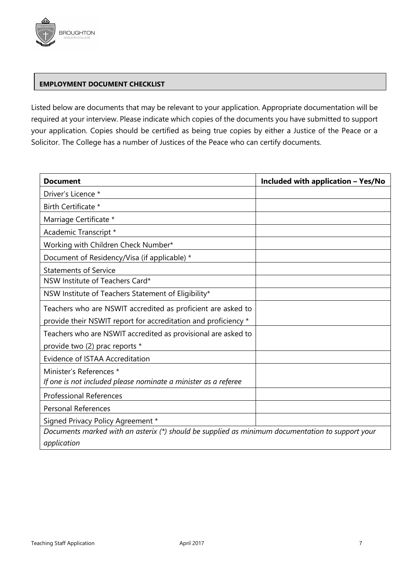

### **EMPLOYMENT DOCUMENT CHECKLIST**

Listed below are documents that may be relevant to your application. Appropriate documentation will be required at your interview. Please indicate which copies of the documents you have submitted to support your application. Copies should be certified as being true copies by either a Justice of the Peace or a Solicitor. The College has a number of Justices of the Peace who can certify documents.

| <b>Document</b>                                                                                  | <b>Included with application - Yes/No</b> |
|--------------------------------------------------------------------------------------------------|-------------------------------------------|
| Driver's Licence *                                                                               |                                           |
| Birth Certificate *                                                                              |                                           |
| Marriage Certificate *                                                                           |                                           |
| Academic Transcript *                                                                            |                                           |
| Working with Children Check Number*                                                              |                                           |
| Document of Residency/Visa (if applicable) *                                                     |                                           |
| <b>Statements of Service</b>                                                                     |                                           |
| NSW Institute of Teachers Card*                                                                  |                                           |
| NSW Institute of Teachers Statement of Eligibility*                                              |                                           |
| Teachers who are NSWIT accredited as proficient are asked to                                     |                                           |
| provide their NSWIT report for accreditation and proficiency *                                   |                                           |
| Teachers who are NSWIT accredited as provisional are asked to                                    |                                           |
| provide two (2) prac reports *                                                                   |                                           |
| Evidence of ISTAA Accreditation                                                                  |                                           |
| Minister's References *                                                                          |                                           |
| If one is not included please nominate a minister as a referee                                   |                                           |
| <b>Professional References</b>                                                                   |                                           |
| <b>Personal References</b>                                                                       |                                           |
| Signed Privacy Policy Agreement *                                                                |                                           |
| Documents marked with an asterix (*) should be supplied as minimum documentation to support your |                                           |
| application                                                                                      |                                           |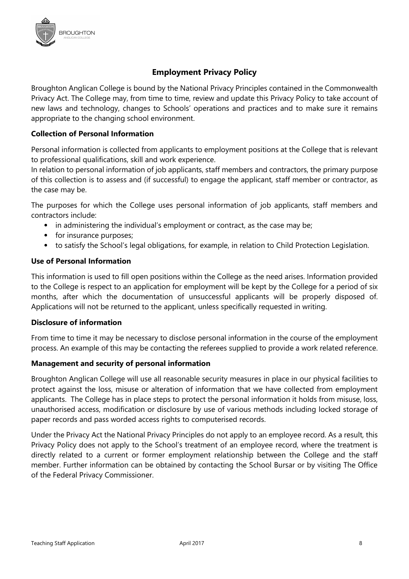

# **Employment Privacy Policy**

Broughton Anglican College is bound by the National Privacy Principles contained in the Commonwealth Privacy Act. The College may, from time to time, review and update this Privacy Policy to take account of new laws and technology, changes to Schools' operations and practices and to make sure it remains appropriate to the changing school environment.

# **Collection of Personal Information**

Personal information is collected from applicants to employment positions at the College that is relevant to professional qualifications, skill and work experience.

In relation to personal information of job applicants, staff members and contractors, the primary purpose of this collection is to assess and (if successful) to engage the applicant, staff member or contractor, as the case may be.

The purposes for which the College uses personal information of job applicants, staff members and contractors include:

- in administering the individual's employment or contract, as the case may be;
- for insurance purposes;
- to satisfy the School's legal obligations, for example, in relation to Child Protection Legislation.

# **Use of Personal Information**

This information is used to fill open positions within the College as the need arises. Information provided to the College is respect to an application for employment will be kept by the College for a period of six months, after which the documentation of unsuccessful applicants will be properly disposed of. Applications will not be returned to the applicant, unless specifically requested in writing.

### **Disclosure of information**

From time to time it may be necessary to disclose personal information in the course of the employment process. An example of this may be contacting the referees supplied to provide a work related reference.

### **Management and security of personal information**

Broughton Anglican College will use all reasonable security measures in place in our physical facilities to protect against the loss, misuse or alteration of information that we have collected from employment applicants. The College has in place steps to protect the personal information it holds from misuse, loss, unauthorised access, modification or disclosure by use of various methods including locked storage of paper records and pass worded access rights to computerised records.

Under the Privacy Act the National Privacy Principles do not apply to an employee record. As a result, this Privacy Policy does not apply to the School's treatment of an employee record, where the treatment is directly related to a current or former employment relationship between the College and the staff member. Further information can be obtained by contacting the School Bursar or by visiting The Office of the Federal Privacy Commissioner.